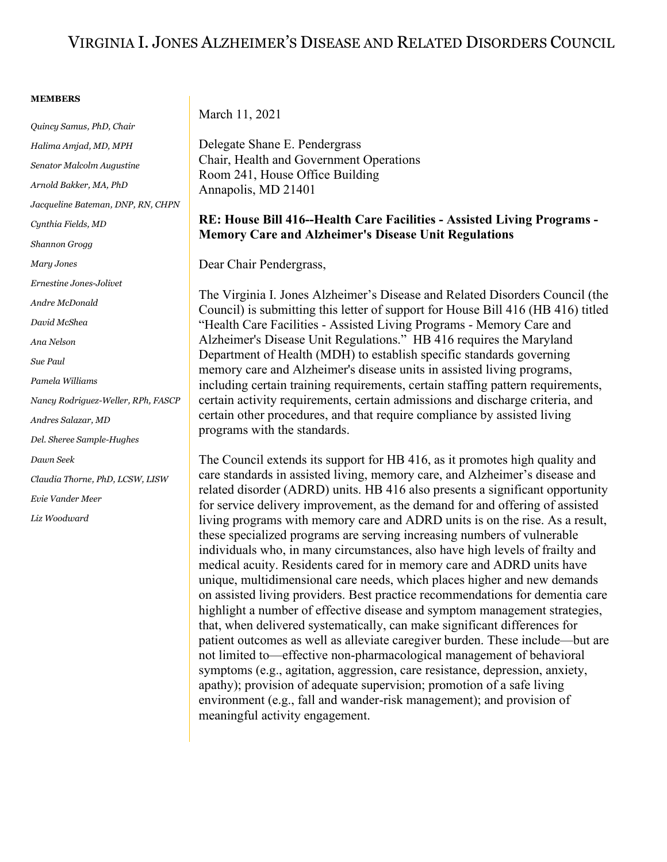## VIRGINIA I. JONES ALZHEIMER'S DISEASE AND RELATED DISORDERS COUNCIL

## **MEMBERS**

*Quincy Samus, PhD, Chair Halima Amjad, MD, MPH Senator Malcolm Augustine Arnold Bakker, MA, PhD Jacqueline Bateman, DNP, RN, CHPN Cynthia Fields, MD Shannon Grogg Mary Jones Ernestine Jones-Jolivet Andre McDonald David McShea Ana Nelson Sue Paul Pamela Williams Nancy Rodriguez-Weller, RPh, FASCP Andres Salazar, MD Del. Sheree Sample-Hughes Dawn Seek Claudia Thorne, PhD, LCSW, LISW Evie Vander Meer Liz Woodward*

March 11, 2021

Delegate Shane E. Pendergrass Chair, Health and Government Operations Room 241, House Office Building Annapolis, MD 21401

## **RE: House Bill 416--Health Care Facilities - Assisted Living Programs - Memory Care and Alzheimer's Disease Unit Regulations**

Dear Chair Pendergrass,

The Virginia I. Jones Alzheimer's Disease and Related Disorders Council (the Council) is submitting this letter of support for House Bill 416 (HB 416) titled "Health Care Facilities - Assisted Living Programs - Memory Care and Alzheimer's Disease Unit Regulations." HB 416 requires the Maryland Department of Health (MDH) to establish specific standards governing memory care and Alzheimer's disease units in assisted living programs, including certain training requirements, certain staffing pattern requirements, certain activity requirements, certain admissions and discharge criteria, and certain other procedures, and that require compliance by assisted living programs with the standards.

The Council extends its support for HB 416, as it promotes high quality and care standards in assisted living, memory care, and Alzheimer's disease and related disorder (ADRD) units. HB 416 also presents a significant opportunity for service delivery improvement, as the demand for and offering of assisted living programs with memory care and ADRD units is on the rise. As a result, these specialized programs are serving increasing numbers of vulnerable individuals who, in many circumstances, also have high levels of frailty and medical acuity. Residents cared for in memory care and ADRD units have unique, multidimensional care needs, which places higher and new demands on assisted living providers. Best practice recommendations for dementia care highlight a number of effective disease and symptom management strategies, that, when delivered systematically, can make significant differences for patient outcomes as well as alleviate caregiver burden. These include—but are not limited to—effective non-pharmacological management of behavioral symptoms (e.g., agitation, aggression, care resistance, depression, anxiety, apathy); provision of adequate supervision; promotion of a safe living environment (e.g., fall and wander-risk management); and provision of meaningful activity engagement.